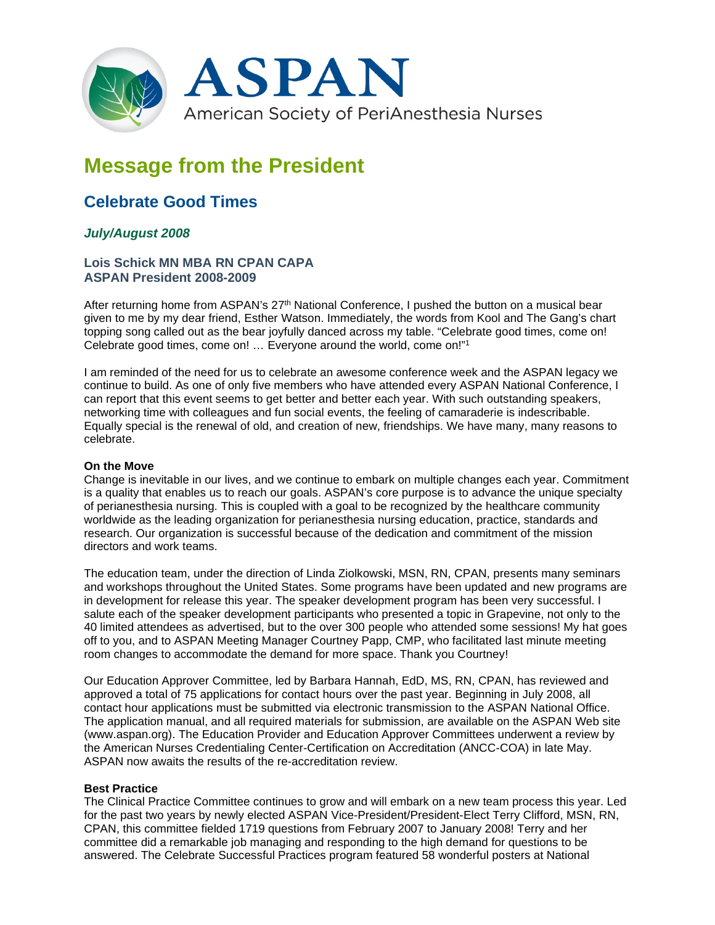

# **Message from the President**

## **Celebrate Good Times**

### *July/August 2008*

#### **Lois Schick MN MBA RN CPAN CAPA ASPAN President 2008-2009**

After returning home from ASPAN's 27<sup>th</sup> National Conference. I pushed the button on a musical bear given to me by my dear friend, Esther Watson. Immediately, the words from Kool and The Gang's chart topping song called out as the bear joyfully danced across my table. "Celebrate good times, come on! Celebrate good times, come on! … Everyone around the world, come on!"1

I am reminded of the need for us to celebrate an awesome conference week and the ASPAN legacy we continue to build. As one of only five members who have attended every ASPAN National Conference, I can report that this event seems to get better and better each year. With such outstanding speakers, networking time with colleagues and fun social events, the feeling of camaraderie is indescribable. Equally special is the renewal of old, and creation of new, friendships. We have many, many reasons to celebrate.

#### **On the Move**

Change is inevitable in our lives, and we continue to embark on multiple changes each year. Commitment is a quality that enables us to reach our goals. ASPAN's core purpose is to advance the unique specialty of perianesthesia nursing. This is coupled with a goal to be recognized by the healthcare community worldwide as the leading organization for perianesthesia nursing education, practice, standards and research. Our organization is successful because of the dedication and commitment of the mission directors and work teams.

The education team, under the direction of Linda Ziolkowski, MSN, RN, CPAN, presents many seminars and workshops throughout the United States. Some programs have been updated and new programs are in development for release this year. The speaker development program has been very successful. I salute each of the speaker development participants who presented a topic in Grapevine, not only to the 40 limited attendees as advertised, but to the over 300 people who attended some sessions! My hat goes off to you, and to ASPAN Meeting Manager Courtney Papp, CMP, who facilitated last minute meeting room changes to accommodate the demand for more space. Thank you Courtney!

Our Education Approver Committee, led by Barbara Hannah, EdD, MS, RN, CPAN, has reviewed and approved a total of 75 applications for contact hours over the past year. Beginning in July 2008, all contact hour applications must be submitted via electronic transmission to the ASPAN National Office. The application manual, and all required materials for submission, are available on the ASPAN Web site (www.aspan.org). The Education Provider and Education Approver Committees underwent a review by the American Nurses Credentialing Center-Certification on Accreditation (ANCC-COA) in late May. ASPAN now awaits the results of the re-accreditation review.

#### **Best Practice**

The Clinical Practice Committee continues to grow and will embark on a new team process this year. Led for the past two years by newly elected ASPAN Vice-President/President-Elect Terry Clifford, MSN, RN, CPAN, this committee fielded 1719 questions from February 2007 to January 2008! Terry and her committee did a remarkable job managing and responding to the high demand for questions to be answered. The Celebrate Successful Practices program featured 58 wonderful posters at National